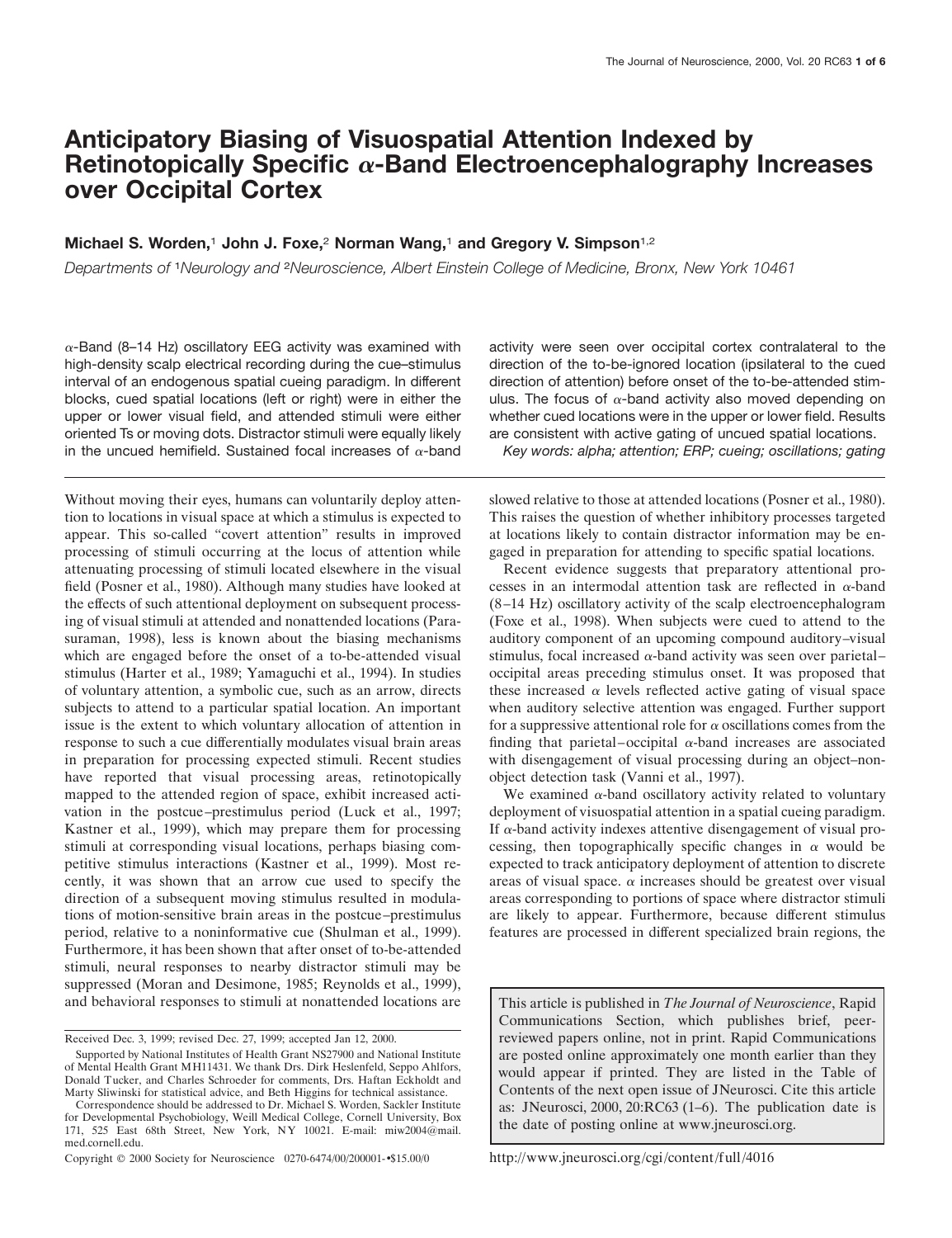# **Anticipatory Biasing of Visuospatial Attention Indexed by Retinotopically Specific** <sup>a</sup>**-Band Electroencephalography Increases over Occipital Cortex**

## **Michael S. Worden,**<sup>1</sup> **John J. Foxe,**<sup>2</sup> **Norman Wang,**<sup>1</sup> **and Gregory V. Simpson**1,2

*Departments of* <sup>1</sup>*Neurology and* <sup>2</sup>*Neuroscience, Albert Einstein College of Medicine, Bronx, New York 10461*

 $\alpha$ -Band (8–14 Hz) oscillatory EEG activity was examined with high-density scalp electrical recording during the cue–stimulus interval of an endogenous spatial cueing paradigm. In different blocks, cued spatial locations (left or right) were in either the upper or lower visual field, and attended stimuli were either oriented Ts or moving dots. Distractor stimuli were equally likely in the uncued hemifield. Sustained focal increases of  $\alpha$ -band

Without moving their eyes, humans can voluntarily deploy attention to locations in visual space at which a stimulus is expected to appear. This so-called "covert attention" results in improved processing of stimuli occurring at the locus of attention while attenuating processing of stimuli located elsewhere in the visual field (Posner et al., 1980). Although many studies have looked at the effects of such attentional deployment on subsequent processing of visual stimuli at attended and nonattended locations (Parasuraman, 1998), less is known about the biasing mechanisms which are engaged before the onset of a to-be-attended visual stimulus (Harter et al., 1989; Yamaguchi et al., 1994). In studies of voluntary attention, a symbolic cue, such as an arrow, directs subjects to attend to a particular spatial location. An important issue is the extent to which voluntary allocation of attention in response to such a cue differentially modulates visual brain areas in preparation for processing expected stimuli. Recent studies have reported that visual processing areas, retinotopically mapped to the attended region of space, exhibit increased activation in the postcue–prestimulus period (Luck et al., 1997; Kastner et al., 1999), which may prepare them for processing stimuli at corresponding visual locations, perhaps biasing competitive stimulus interactions (Kastner et al., 1999). Most recently, it was shown that an arrow cue used to specify the direction of a subsequent moving stimulus resulted in modulations of motion-sensitive brain areas in the postcue–prestimulus period, relative to a noninformative cue (Shulman et al., 1999). Furthermore, it has been shown that after onset of to-be-attended stimuli, neural responses to nearby distractor stimuli may be suppressed (Moran and Desimone, 1985; Reynolds et al., 1999), and behavioral responses to stimuli at nonattended locations are

activity were seen over occipital cortex contralateral to the direction of the to-be-ignored location (ipsilateral to the cued direction of attention) before onset of the to-be-attended stimulus. The focus of  $\alpha$ -band activity also moved depending on whether cued locations were in the upper or lower field. Results are consistent with active gating of uncued spatial locations.

*Key words: alpha; attention; ERP; cueing; oscillations; gating*

slowed relative to those at attended locations (Posner et al., 1980). This raises the question of whether inhibitory processes targeted at locations likely to contain distractor information may be engaged in preparation for attending to specific spatial locations.

Recent evidence suggests that preparatory attentional processes in an intermodal attention task are reflected in  $\alpha$ -band (8–14 Hz) oscillatory activity of the scalp electroencephalogram (Foxe et al., 1998). When subjects were cued to attend to the auditory component of an upcoming compound auditory–visual stimulus, focal increased  $\alpha$ -band activity was seen over parietal– occipital areas preceding stimulus onset. It was proposed that these increased  $\alpha$  levels reflected active gating of visual space when auditory selective attention was engaged. Further support for a suppressive attentional role for  $\alpha$  oscillations comes from the finding that parietal–occipital  $\alpha$ -band increases are associated with disengagement of visual processing during an object–nonobject detection task (Vanni et al., 1997).

We examined  $\alpha$ -band oscillatory activity related to voluntary deployment of visuospatial attention in a spatial cueing paradigm. If  $\alpha$ -band activity indexes attentive disengagement of visual processing, then topographically specific changes in  $\alpha$  would be expected to track anticipatory deployment of attention to discrete areas of visual space.  $\alpha$  increases should be greatest over visual areas corresponding to portions of space where distractor stimuli are likely to appear. Furthermore, because different stimulus features are processed in different specialized brain regions, the

This article is published in *The Journal of Neuroscience*, Rapid Communications Section, which publishes brief, peerreviewed papers online, not in print. Rapid Communications are posted online approximately one month earlier than they would appear if printed. They are listed in the Table of Contents of the next open issue of JNeurosci. Cite this article as: JNeurosci, 2000, 20:RC63 (1–6). The publication date is the date of posting online at www.jneurosci.org.

http://www.jneurosci.org/cgi/content/full/4016

Received Dec. 3, 1999; revised Dec. 27, 1999; accepted Jan 12, 2000.

Supported by National Institutes of Health Grant NS27900 and National Institute of Mental Health Grant MH11431. We thank Drs. Dirk Heslenfeld, Seppo Ahlfors, Donald Tucker, and Charles Schroeder for comments, Drs. Haftan Eckholdt and Marty Sliwinski for statistical advice, and Beth Higgins for technical assistance.

Correspondence should be addressed to Dr. Michael S. Worden, Sackler Institute for Developmental Psychobiology, Weill Medical College, Cornell University, Box 171, 525 East 68th Street, New York, NY 10021. E-mail: miw2004@mail. med.cornell.edu.

Copyright © 2000 Society for Neuroscience 0270-6474/00/200001-•\$15.00/0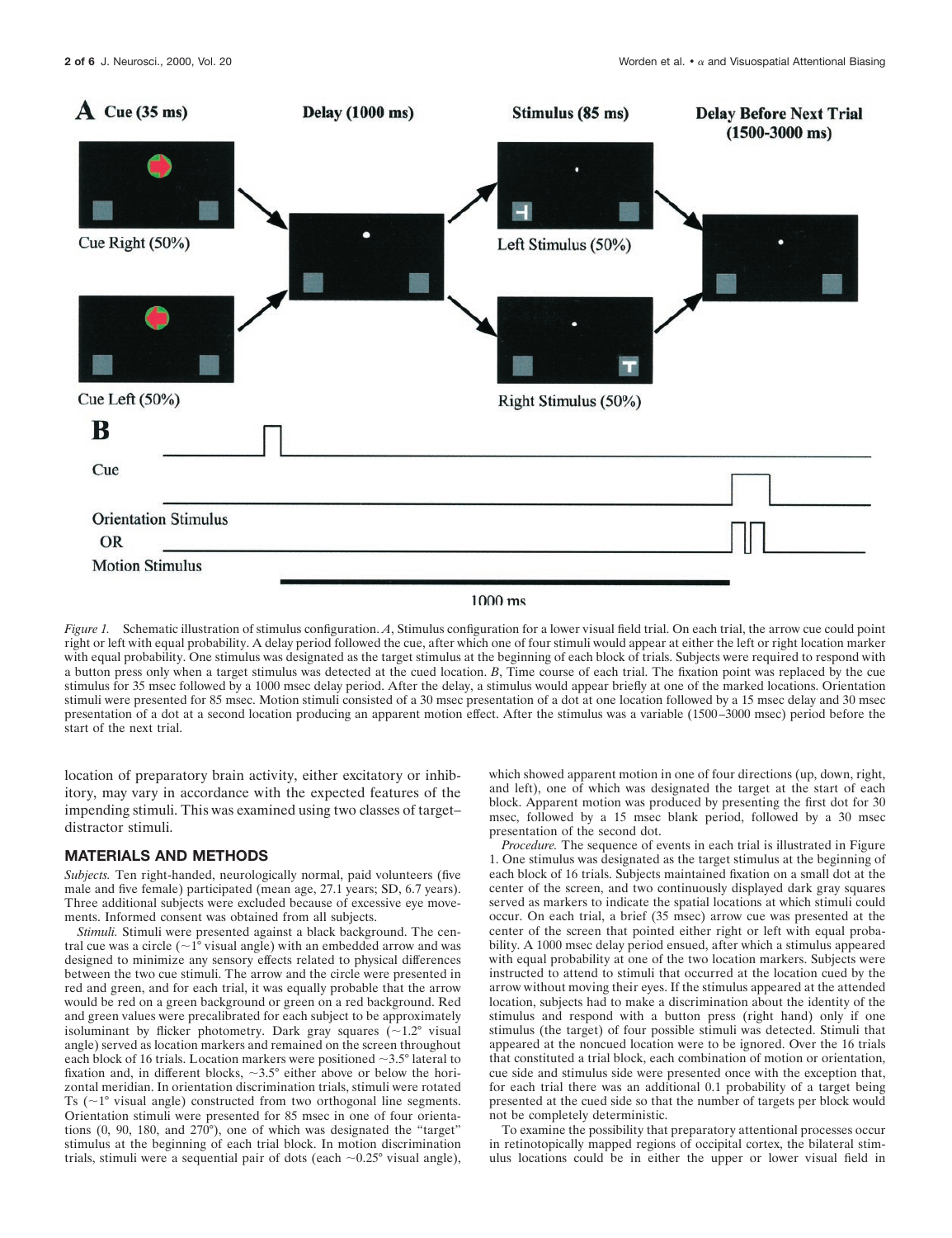

#### $1000$  ms

*Figure 1.* Schematic illustration of stimulus configuration. *A*, Stimulus configuration for a lower visual field trial. On each trial, the arrow cue could point right or left with equal probability. A delay period followed the cue, after which one of four stimuli would appear at either the left or right location marker with equal probability. One stimulus was designated as the target stimulus at the beginning of each block of trials. Subjects were required to respond with a button press only when a target stimulus was detected at the cued location. *B*, Time course of each trial. The fixation point was replaced by the cue stimulus for 35 msec followed by a 1000 msec delay period. After the delay, a stimulus would appear briefly at one of the marked locations. Orientation stimuli were presented for 85 msec. Motion stimuli consisted of a 30 msec presentation of a dot at one location followed by a 15 msec delay and 30 msec presentation of a dot at a second location producing an apparent motion effect. After the stimulus was a variable (1500–3000 msec) period before the start of the next trial.

location of preparatory brain activity, either excitatory or inhibitory, may vary in accordance with the expected features of the impending stimuli. This was examined using two classes of target– distractor stimuli.

#### **MATERIALS AND METHODS**

*Subjects.* Ten right-handed, neurologically normal, paid volunteers (five male and five female) participated (mean age, 27.1 years; SD, 6.7 years). Three additional subjects were excluded because of excessive eye movements. Informed consent was obtained from all subjects.

*Stimuli.* Stimuli were presented against a black background. The central cue was a circle  $({\sim}1^{\circ}$  visual angle) with an embedded arrow and was designed to minimize any sensory effects related to physical differences between the two cue stimuli. The arrow and the circle were presented in red and green, and for each trial, it was equally probable that the arrow would be red on a green background or green on a red background. Red and green values were precalibrated for each subject to be approximately isoluminant by flicker photometry. Dark gray squares  $(\sim 1.2^{\circ}$  visual angle) served as location markers and remained on the screen throughout each block of 16 trials. Location markers were positioned  $\sim$ 3.5° lateral to fixation and, in different blocks,  $\sim 3.5^{\circ}$  either above or below the horizontal meridian. In orientation discrimination trials, stimuli were rotated Ts  $(\sim 1^\circ$  visual angle) constructed from two orthogonal line segments. Orientation stimuli were presented for 85 msec in one of four orientations (0, 90, 180, and 270°), one of which was designated the "target" stimulus at the beginning of each trial block. In motion discrimination trials, stimuli were a sequential pair of dots (each  $\sim 0.25^{\circ}$  visual angle),

which showed apparent motion in one of four directions (up, down, right, and left), one of which was designated the target at the start of each block. Apparent motion was produced by presenting the first dot for 30 msec, followed by a 15 msec blank period, followed by a 30 msec presentation of the second dot.

*Procedure.* The sequence of events in each trial is illustrated in Figure 1. One stimulus was designated as the target stimulus at the beginning of each block of 16 trials. Subjects maintained fixation on a small dot at the center of the screen, and two continuously displayed dark gray squares served as markers to indicate the spatial locations at which stimuli could occur. On each trial, a brief (35 msec) arrow cue was presented at the center of the screen that pointed either right or left with equal probability. A 1000 msec delay period ensued, after which a stimulus appeared with equal probability at one of the two location markers. Subjects were instructed to attend to stimuli that occurred at the location cued by the arrow without moving their eyes. If the stimulus appeared at the attended location, subjects had to make a discrimination about the identity of the stimulus and respond with a button press (right hand) only if one stimulus (the target) of four possible stimuli was detected. Stimuli that appeared at the noncued location were to be ignored. Over the 16 trials that constituted a trial block, each combination of motion or orientation, cue side and stimulus side were presented once with the exception that, for each trial there was an additional 0.1 probability of a target being presented at the cued side so that the number of targets per block would not be completely deterministic.

To examine the possibility that preparatory attentional processes occur in retinotopically mapped regions of occipital cortex, the bilateral stimulus locations could be in either the upper or lower visual field in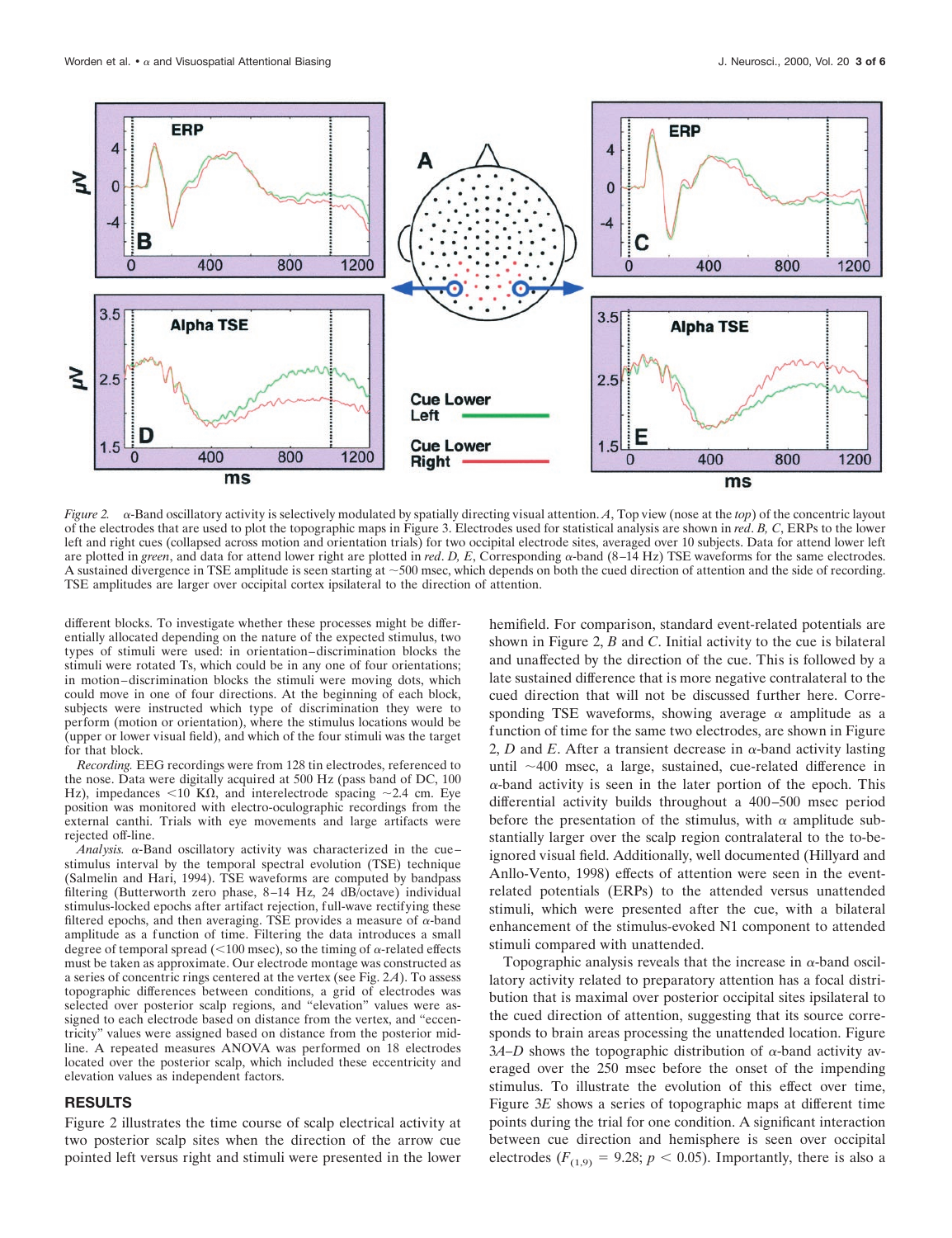

*Figure 2.* <sup>a</sup>-Band oscillatory activity is selectively modulated by spatially directing visual attention. *A*, Top view (nose at the *top*) of the concentric layout of the electrodes that are used to plot the topographic maps in Figure 3. Electrodes used for statistical analysis are shown in *red*. *B, C*, ERPs to the lower left and right cues (collapsed across motion and orientation trials) for two occipital electrode sites, averaged over 10 subjects. Data for attend lower left are plotted in *green*, and data for attend lower right are plotted in *red*. *D, E*, Corresponding  $\alpha$ -band (8–14 Hz) TSE waveforms for the same electrodes. A sustained divergence in TSE amplitude is seen starting at ~500 msec, which depends on both the cued direction of attention and the side of recording. TSE amplitudes are larger over occipital cortex ipsilateral to the direction of attention.

different blocks. To investigate whether these processes might be differentially allocated depending on the nature of the expected stimulus, two types of stimuli were used: in orientation–discrimination blocks the stimuli were rotated Ts, which could be in any one of four orientations; in motion–discrimination blocks the stimuli were moving dots, which could move in one of four directions. At the beginning of each block, subjects were instructed which type of discrimination they were to perform (motion or orientation), where the stimulus locations would be (upper or lower visual field), and which of the four stimuli was the target for that block.

*Recording.* EEG recordings were from 128 tin electrodes, referenced to the nose. Data were digitally acquired at 500 Hz (pass band of DC, 100 Hz), impedances <10 K $\Omega$ , and interelectrode spacing ~2.4 cm. Eye position was monitored with electro-oculographic recordings from the external canthi. Trials with eye movements and large artifacts were rejected off-line.

*Analysis.* <sup>a</sup>-Band oscillatory activity was characterized in the cue– stimulus interval by the temporal spectral evolution (TSE) technique (Salmelin and Hari, 1994). TSE waveforms are computed by bandpass filtering (Butterworth zero phase, 8–14 Hz, 24 dB/octave) individual stimulus-locked epochs after artifact rejection, full-wave rectifying these filtered epochs, and then averaging. TSE provides a measure of  $\alpha$ -band amplitude as a function of time. Filtering the data introduces a small degree of temporal spread ( $<$ 100 msec), so the timing of  $\alpha$ -related effects must be taken as approximate. Our electrode montage was constructed as a series of concentric rings centered at the vertex (see Fig. 2*A*). To assess topographic differences between conditions, a grid of electrodes was selected over posterior scalp regions, and "elevation" values were assigned to each electrode based on distance from the vertex, and "eccentricity" values were assigned based on distance from the posterior midline. A repeated measures ANOVA was performed on 18 electrodes located over the posterior scalp, which included these eccentricity and elevation values as independent factors.

### **RESULTS**

Figure 2 illustrates the time course of scalp electrical activity at two posterior scalp sites when the direction of the arrow cue pointed left versus right and stimuli were presented in the lower hemifield. For comparison, standard event-related potentials are shown in Figure 2, *B* and *C*. Initial activity to the cue is bilateral and unaffected by the direction of the cue. This is followed by a late sustained difference that is more negative contralateral to the cued direction that will not be discussed further here. Corresponding TSE waveforms, showing average  $\alpha$  amplitude as a function of time for the same two electrodes, are shown in Figure 2, *D* and *E*. After a transient decrease in  $\alpha$ -band activity lasting until  $\sim$ 400 msec, a large, sustained, cue-related difference in  $\alpha$ -band activity is seen in the later portion of the epoch. This differential activity builds throughout a 400–500 msec period before the presentation of the stimulus, with  $\alpha$  amplitude substantially larger over the scalp region contralateral to the to-beignored visual field. Additionally, well documented (Hillyard and Anllo-Vento, 1998) effects of attention were seen in the eventrelated potentials (ERPs) to the attended versus unattended stimuli, which were presented after the cue, with a bilateral enhancement of the stimulus-evoked N1 component to attended stimuli compared with unattended.

Topographic analysis reveals that the increase in  $\alpha$ -band oscillatory activity related to preparatory attention has a focal distribution that is maximal over posterior occipital sites ipsilateral to the cued direction of attention, suggesting that its source corresponds to brain areas processing the unattended location. Figure  $3A-D$  shows the topographic distribution of  $\alpha$ -band activity averaged over the 250 msec before the onset of the impending stimulus. To illustrate the evolution of this effect over time, Figure 3*E* shows a series of topographic maps at different time points during the trial for one condition. A significant interaction between cue direction and hemisphere is seen over occipital electrodes ( $F_{(1,9)} = 9.28$ ;  $p < 0.05$ ). Importantly, there is also a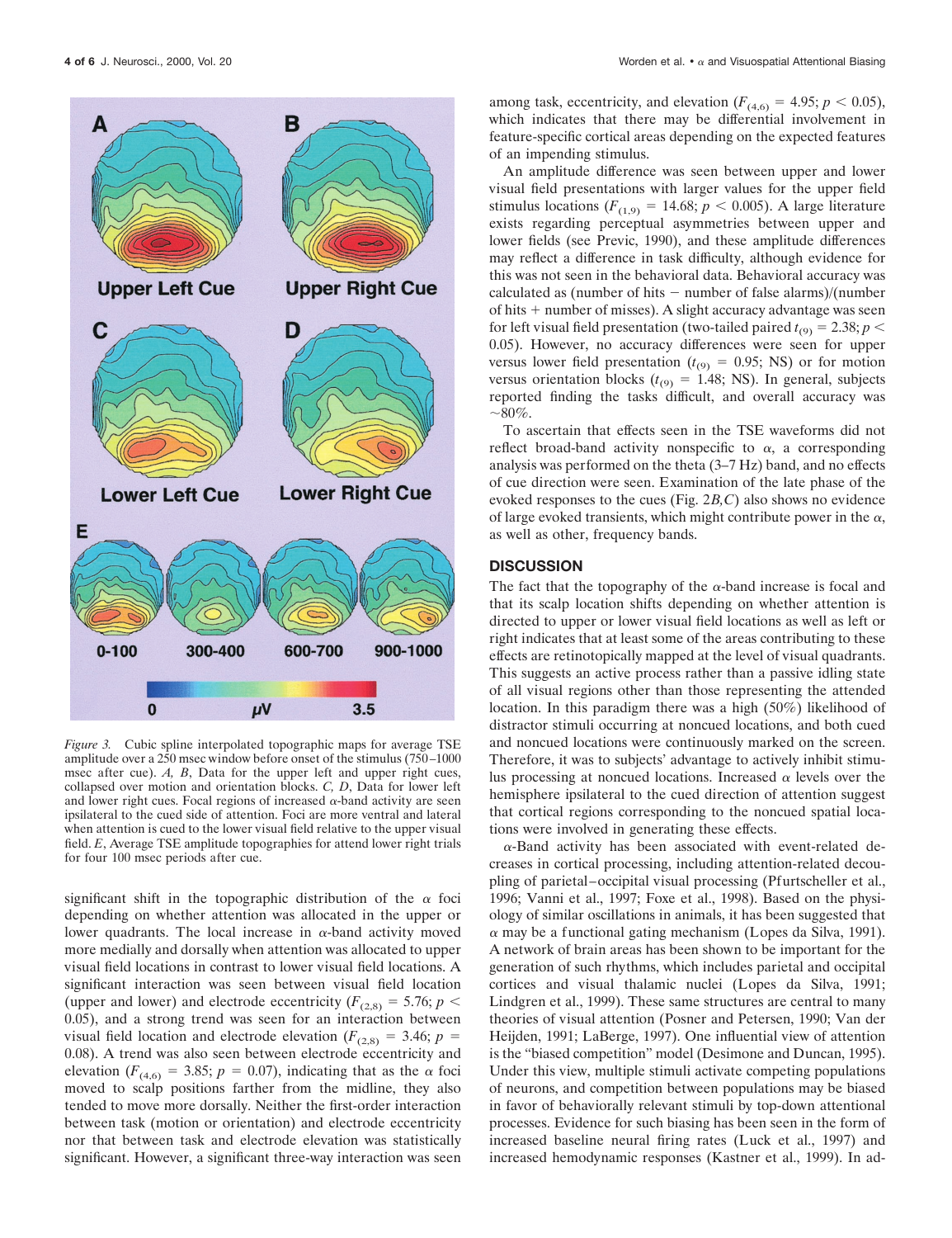

*Figure 3.* Cubic spline interpolated topographic maps for average TSE amplitude over a 250 msec window before onset of the stimulus (750–1000 msec after cue). *A, B*, Data for the upper left and upper right cues, collapsed over motion and orientation blocks. *C, D*, Data for lower left and lower right cues. Focal regions of increased  $\alpha$ -band activity are seen ipsilateral to the cued side of attention. Foci are more ventral and lateral when attention is cued to the lower visual field relative to the upper visual field. *E*, Average TSE amplitude topographies for attend lower right trials for four 100 msec periods after cue.

significant shift in the topographic distribution of the  $\alpha$  foci depending on whether attention was allocated in the upper or lower quadrants. The local increase in  $\alpha$ -band activity moved more medially and dorsally when attention was allocated to upper visual field locations in contrast to lower visual field locations. A significant interaction was seen between visual field location (upper and lower) and electrode eccentricity ( $F_{(2,8)} = 5.76$ ;  $p <$ 0.05), and a strong trend was seen for an interaction between visual field location and electrode elevation ( $F_{(2,8)} = 3.46$ ;  $p =$ 0.08). A trend was also seen between electrode eccentricity and elevation ( $F_{(4,6)} = 3.85$ ;  $p = 0.07$ ), indicating that as the  $\alpha$  foci moved to scalp positions farther from the midline, they also tended to move more dorsally. Neither the first-order interaction between task (motion or orientation) and electrode eccentricity nor that between task and electrode elevation was statistically significant. However, a significant three-way interaction was seen

among task, eccentricity, and elevation  $(F_{(4,6)} = 4.95; p < 0.05)$ , which indicates that there may be differential involvement in feature-specific cortical areas depending on the expected features of an impending stimulus.

An amplitude difference was seen between upper and lower visual field presentations with larger values for the upper field stimulus locations ( $F_{(1,9)} = 14.68$ ;  $p < 0.005$ ). A large literature exists regarding perceptual asymmetries between upper and lower fields (see Previc, 1990), and these amplitude differences may reflect a difference in task difficulty, although evidence for this was not seen in the behavioral data. Behavioral accuracy was calculated as (number of hits  $-$  number of false alarms)/(number of hits  $+$  number of misses). A slight accuracy advantage was seen for left visual field presentation (two-tailed paired  $t_{(9)} = 2.38; p <$ 0.05). However, no accuracy differences were seen for upper versus lower field presentation ( $t_{(9)} = 0.95$ ; NS) or for motion versus orientation blocks ( $t_{(9)} = 1.48$ ; NS). In general, subjects reported finding the tasks difficult, and overall accuracy was  $\sim 80\%$ .

To ascertain that effects seen in the TSE waveforms did not reflect broad-band activity nonspecific to  $\alpha$ , a corresponding analysis was performed on the theta (3–7 Hz) band, and no effects of cue direction were seen. Examination of the late phase of the evoked responses to the cues (Fig. 2*B,C*) also shows no evidence of large evoked transients, which might contribute power in the  $\alpha$ , as well as other, frequency bands.

## **DISCUSSION**

The fact that the topography of the  $\alpha$ -band increase is focal and that its scalp location shifts depending on whether attention is directed to upper or lower visual field locations as well as left or right indicates that at least some of the areas contributing to these effects are retinotopically mapped at the level of visual quadrants. This suggests an active process rather than a passive idling state of all visual regions other than those representing the attended location. In this paradigm there was a high (50%) likelihood of distractor stimuli occurring at noncued locations, and both cued and noncued locations were continuously marked on the screen. Therefore, it was to subjects' advantage to actively inhibit stimulus processing at noncued locations. Increased  $\alpha$  levels over the hemisphere ipsilateral to the cued direction of attention suggest that cortical regions corresponding to the noncued spatial locations were involved in generating these effects.

 $\alpha$ -Band activity has been associated with event-related decreases in cortical processing, including attention-related decoupling of parietal–occipital visual processing (Pfurtscheller et al., 1996; Vanni et al., 1997; Foxe et al., 1998). Based on the physiology of similar oscillations in animals, it has been suggested that  $\alpha$  may be a functional gating mechanism (Lopes da Silva, 1991). A network of brain areas has been shown to be important for the generation of such rhythms, which includes parietal and occipital cortices and visual thalamic nuclei (Lopes da Silva, 1991; Lindgren et al., 1999). These same structures are central to many theories of visual attention (Posner and Petersen, 1990; Van der Heijden, 1991; LaBerge, 1997). One influential view of attention is the "biased competition" model (Desimone and Duncan, 1995). Under this view, multiple stimuli activate competing populations of neurons, and competition between populations may be biased in favor of behaviorally relevant stimuli by top-down attentional processes. Evidence for such biasing has been seen in the form of increased baseline neural firing rates (Luck et al., 1997) and increased hemodynamic responses (Kastner et al., 1999). In ad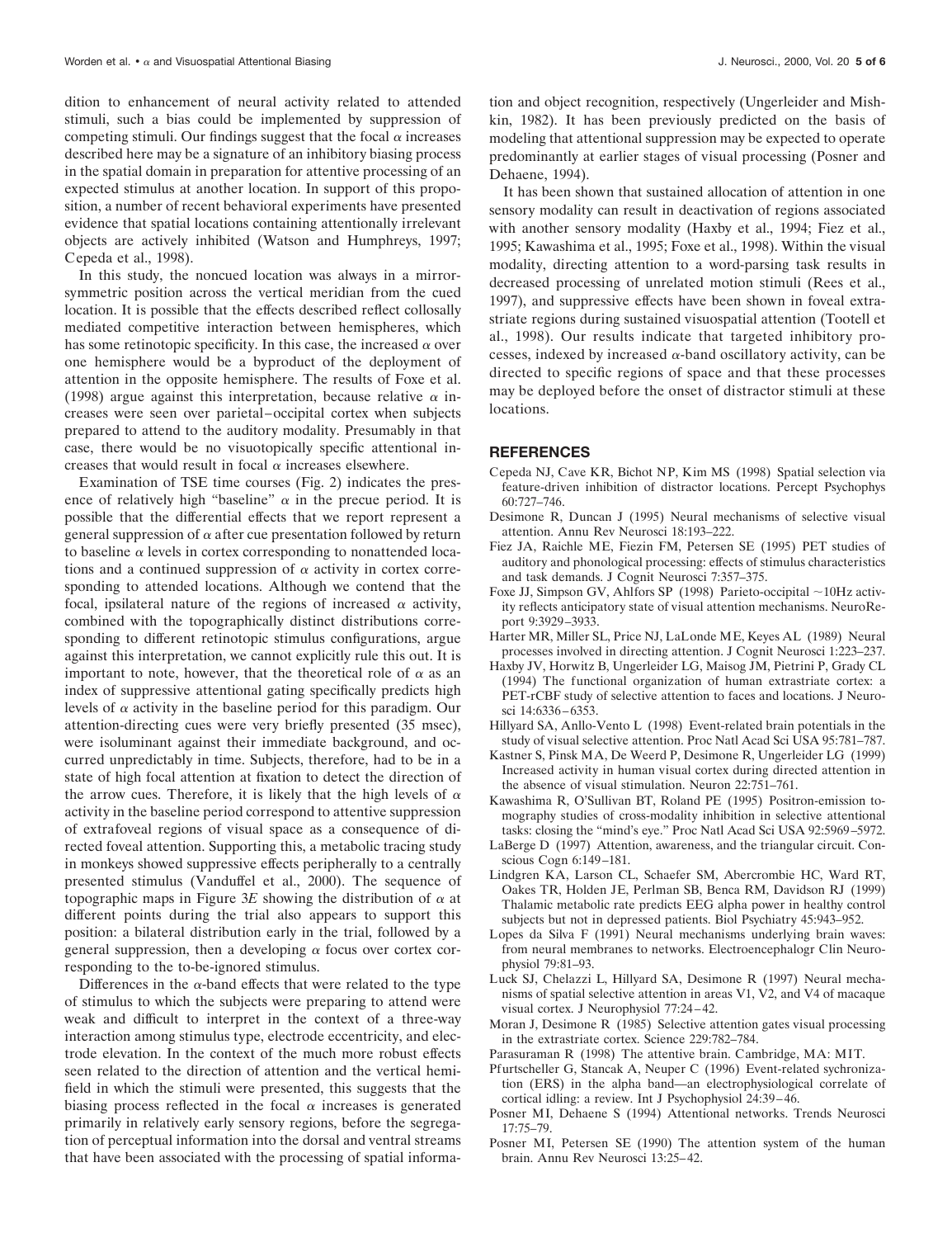dition to enhancement of neural activity related to attended stimuli, such a bias could be implemented by suppression of competing stimuli. Our findings suggest that the focal  $\alpha$  increases described here may be a signature of an inhibitory biasing process in the spatial domain in preparation for attentive processing of an expected stimulus at another location. In support of this proposition, a number of recent behavioral experiments have presented evidence that spatial locations containing attentionally irrelevant objects are actively inhibited (Watson and Humphreys, 1997; Cepeda et al., 1998).

In this study, the noncued location was always in a mirrorsymmetric position across the vertical meridian from the cued location. It is possible that the effects described reflect collosally mediated competitive interaction between hemispheres, which has some retinotopic specificity. In this case, the increased  $\alpha$  over one hemisphere would be a byproduct of the deployment of attention in the opposite hemisphere. The results of Foxe et al. (1998) argue against this interpretation, because relative  $\alpha$  increases were seen over parietal–occipital cortex when subjects prepared to attend to the auditory modality. Presumably in that case, there would be no visuotopically specific attentional increases that would result in focal  $\alpha$  increases elsewhere.

Examination of TSE time courses (Fig. 2) indicates the presence of relatively high "baseline"  $\alpha$  in the precue period. It is possible that the differential effects that we report represent a general suppression of  $\alpha$  after cue presentation followed by return to baseline  $\alpha$  levels in cortex corresponding to nonattended locations and a continued suppression of  $\alpha$  activity in cortex corresponding to attended locations. Although we contend that the focal, ipsilateral nature of the regions of increased  $\alpha$  activity, combined with the topographically distinct distributions corresponding to different retinotopic stimulus configurations, argue against this interpretation, we cannot explicitly rule this out. It is important to note, however, that the theoretical role of  $\alpha$  as an index of suppressive attentional gating specifically predicts high levels of  $\alpha$  activity in the baseline period for this paradigm. Our attention-directing cues were very briefly presented (35 msec), were isoluminant against their immediate background, and occurred unpredictably in time. Subjects, therefore, had to be in a state of high focal attention at fixation to detect the direction of the arrow cues. Therefore, it is likely that the high levels of  $\alpha$ activity in the baseline period correspond to attentive suppression of extrafoveal regions of visual space as a consequence of directed foveal attention. Supporting this, a metabolic tracing study in monkeys showed suppressive effects peripherally to a centrally presented stimulus (Vanduffel et al., 2000). The sequence of topographic maps in Figure  $3E$  showing the distribution of  $\alpha$  at different points during the trial also appears to support this position: a bilateral distribution early in the trial, followed by a general suppression, then a developing  $\alpha$  focus over cortex corresponding to the to-be-ignored stimulus.

Differences in the  $\alpha$ -band effects that were related to the type of stimulus to which the subjects were preparing to attend were weak and difficult to interpret in the context of a three-way interaction among stimulus type, electrode eccentricity, and electrode elevation. In the context of the much more robust effects seen related to the direction of attention and the vertical hemifield in which the stimuli were presented, this suggests that the biasing process reflected in the focal  $\alpha$  increases is generated primarily in relatively early sensory regions, before the segregation of perceptual information into the dorsal and ventral streams that have been associated with the processing of spatial information and object recognition, respectively (Ungerleider and Mishkin, 1982). It has been previously predicted on the basis of modeling that attentional suppression may be expected to operate predominantly at earlier stages of visual processing (Posner and Dehaene, 1994).

It has been shown that sustained allocation of attention in one sensory modality can result in deactivation of regions associated with another sensory modality (Haxby et al., 1994; Fiez et al., 1995; Kawashima et al., 1995; Foxe et al., 1998). Within the visual modality, directing attention to a word-parsing task results in decreased processing of unrelated motion stimuli (Rees et al., 1997), and suppressive effects have been shown in foveal extrastriate regions during sustained visuospatial attention (Tootell et al., 1998). Our results indicate that targeted inhibitory processes, indexed by increased  $\alpha$ -band oscillatory activity, can be directed to specific regions of space and that these processes may be deployed before the onset of distractor stimuli at these locations.

#### **REFERENCES**

- Cepeda NJ, Cave KR, Bichot NP, Kim MS (1998) Spatial selection via feature-driven inhibition of distractor locations. Percept Psychophys 60:727–746.
- Desimone R, Duncan J (1995) Neural mechanisms of selective visual attention. Annu Rev Neurosci 18:193–222.
- Fiez JA, Raichle ME, Fiezin FM, Petersen SE (1995) PET studies of auditory and phonological processing: effects of stimulus characteristics and task demands. J Cognit Neurosci 7:357–375.
- Foxe JJ, Simpson GV, Ahlfors SP (1998) Parieto-occipital  $\sim$ 10Hz activity reflects anticipatory state of visual attention mechanisms. NeuroReport 9:3929–3933.
- Harter MR, Miller SL, Price NJ, LaLonde ME, Keyes AL (1989) Neural processes involved in directing attention. J Cognit Neurosci 1:223–237.
- Haxby JV, Horwitz B, Ungerleider LG, Maisog JM, Pietrini P, Grady CL (1994) The functional organization of human extrastriate cortex: a PET-rCBF study of selective attention to faces and locations. J Neurosci 14:6336–6353.
- Hillyard SA, Anllo-Vento L (1998) Event-related brain potentials in the study of visual selective attention. Proc Natl Acad Sci USA 95:781–787.
- Kastner S, Pinsk MA, De Weerd P, Desimone R, Ungerleider LG (1999) Increased activity in human visual cortex during directed attention in the absence of visual stimulation. Neuron 22:751–761.
- Kawashima R, O'Sullivan BT, Roland PE (1995) Positron-emission tomography studies of cross-modality inhibition in selective attentional tasks: closing the "mind's eye." Proc Natl Acad Sci USA 92:5969–5972.
- LaBerge D (1997) Attention, awareness, and the triangular circuit. Conscious Cogn 6:149–181.
- Lindgren KA, Larson CL, Schaefer SM, Abercrombie HC, Ward RT, Oakes TR, Holden JE, Perlman SB, Benca RM, Davidson RJ (1999) Thalamic metabolic rate predicts EEG alpha power in healthy control subjects but not in depressed patients. Biol Psychiatry 45:943–952.
- Lopes da Silva F (1991) Neural mechanisms underlying brain waves: from neural membranes to networks. Electroencephalogr Clin Neurophysiol 79:81–93.
- Luck SJ, Chelazzi L, Hillyard SA, Desimone R (1997) Neural mechanisms of spatial selective attention in areas V1, V2, and V4 of macaque visual cortex. J Neurophysiol 77:24–42.
- Moran J, Desimone R (1985) Selective attention gates visual processing in the extrastriate cortex. Science 229:782–784.
- Parasuraman R (1998) The attentive brain. Cambridge, MA: MIT.
- Pfurtscheller G, Stancak A, Neuper C (1996) Event-related sychronization (ERS) in the alpha band—an electrophysiological correlate of cortical idling: a review. Int J Psychophysiol 24:39–46.
- Posner MI, Dehaene S (1994) Attentional networks. Trends Neurosci 17:75–79.
- Posner MI, Petersen SE (1990) The attention system of the human brain. Annu Rev Neurosci 13:25–42.